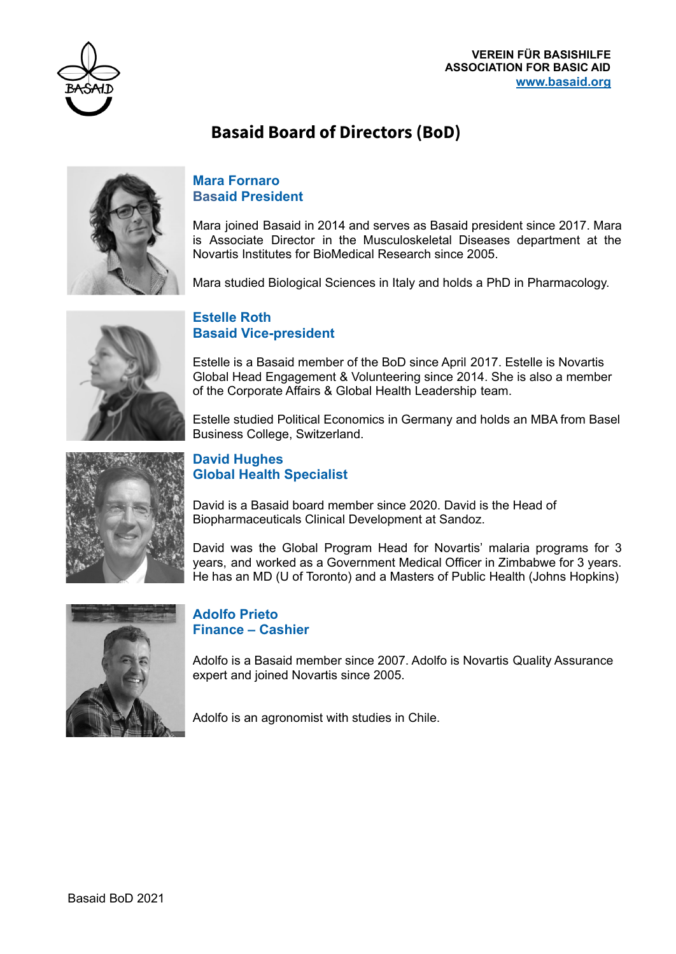

# **Basaid Board of Directors (BoD)**



## **Mara Fornaro Basaid President**

Mara joined Basaid in 2014 and serves as Basaid president since 2017. Mara is Associate Director in the Musculoskeletal Diseases department at the Novartis Institutes for BioMedical Research since 2005.

Mara studied Biological Sciences in Italy and holds a PhD in Pharmacology.



# **Estelle Roth Basaid Vice-president**

Estelle is a Basaid member of the BoD since April 2017. Estelle is Novartis Global Head Engagement & Volunteering since 2014. She is also a member of the Corporate Affairs & Global Health Leadership team.

Estelle studied Political Economics in Germany and holds an MBA from Basel Business College, Switzerland.



## **David Hughes Global Health Specialist**

David is a Basaid board member since 2020. David is the Head of Biopharmaceuticals Clinical Development at Sandoz.

David was the Global Program Head for Novartis' malaria programs for 3 years, and worked as a Government Medical Officer in Zimbabwe for 3 years. He has an MD (U of Toronto) and a Masters of Public Health (Johns Hopkins)



#### **Adolfo Prieto Finance – Cashier**

Adolfo is a Basaid member since 2007. Adolfo is Novartis Quality Assurance expert and joined Novartis since 2005.

Adolfo is an agronomist with studies in Chile.